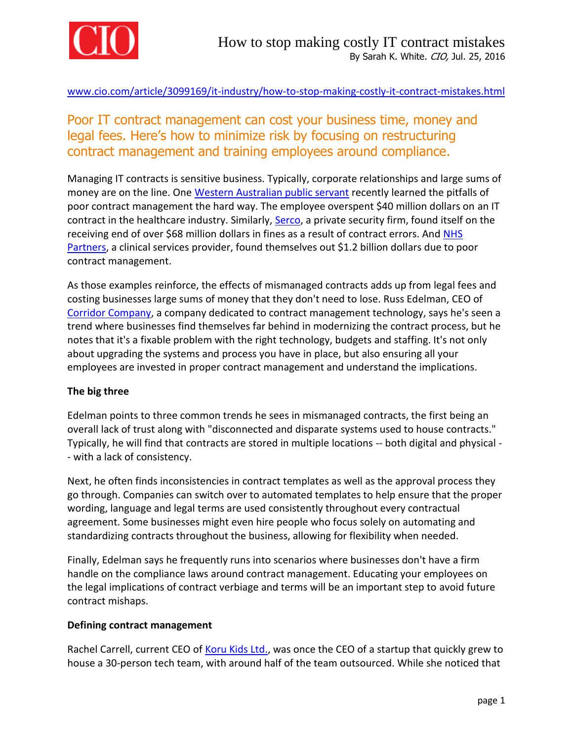

[www.cio.com/article/3099169/it-industry/how-to-stop-making-costly-it-contract-mistakes.html](http://www.cio.com/article/3099169/it-industry/how-to-stop-making-costly-it-contract-mistakes.html)

## Poor IT contract management can cost your business time, money and legal fees. Here's how to minimize risk by focusing on restructuring contract management and training employees around compliance.

Managing IT contracts is sensitive business. Typically, corporate relationships and large sums of money are on the line. One [Western Australian public servant](http://www.watoday.com.au/wa-news/wa-health-worker-overspends-by-40-million-on-it-contract-20160218-gmxqt6.html) recently learned the pitfalls of poor contract management the hard way. The employee overspent \$40 million dollars on an IT contract in the healthcare industry. Similarly, [Serco,](https://www.theguardian.com/business/2013/dec/19/serco-fine-reputation-government-outsourcing) a private security firm, found itself on the receiving end of over \$68 million dollars in fines as a result of contract errors. And [NHS](http://www.ft.com/cms/s/4c008640-9a70-11e5-987b-d6cdef1b205c,Authorised=false.html?siteedition=intl&_i_location=http%3A%2F%2Fwww.ft.com%2Fcms%2Fs%2F0%2F4c008640-9a70-11e5-987b-d6cdef1b205c.html%3Fsiteedition%3Dintl&_i_referer=&classification=conditional_standard&iab=barrier-app#axzz4AM4htnZw)  [Partners,](http://www.ft.com/cms/s/4c008640-9a70-11e5-987b-d6cdef1b205c,Authorised=false.html?siteedition=intl&_i_location=http%3A%2F%2Fwww.ft.com%2Fcms%2Fs%2F0%2F4c008640-9a70-11e5-987b-d6cdef1b205c.html%3Fsiteedition%3Dintl&_i_referer=&classification=conditional_standard&iab=barrier-app#axzz4AM4htnZw) a clinical services provider, found themselves out \$1.2 billion dollars due to poor contract management.

As those examples reinforce, the effects of mismanaged contracts adds up from legal fees and costing businesses large sums of money that they don't need to lose. Russ Edelman, CEO of [Corridor Company,](http://www.corridorcompany.com/) a company dedicated to contract management technology, says he's seen a trend where businesses find themselves far behind in modernizing the contract process, but he notes that it's a fixable problem with the right technology, budgets and staffing. It's not only about upgrading the systems and process you have in place, but also ensuring all your employees are invested in proper contract management and understand the implications.

## **The big three**

Edelman points to three common trends he sees in mismanaged contracts, the first being an overall lack of trust along with "disconnected and disparate systems used to house contracts." Typically, he will find that contracts are stored in multiple locations -- both digital and physical - - with a lack of consistency.

Next, he often finds inconsistencies in contract templates as well as the approval process they go through. Companies can switch over to automated templates to help ensure that the proper wording, language and legal terms are used consistently throughout every contractual agreement. Some businesses might even hire people who focus solely on automating and standardizing contracts throughout the business, allowing for flexibility when needed.

Finally, Edelman says he frequently runs into scenarios where businesses don't have a firm handle on the compliance laws around contract management. Educating your employees on the legal implications of contract verbiage and terms will be an important step to avoid future contract mishaps.

## **Defining contract management**

Rachel Carrell, current CEO of [Koru Kids Ltd.,](http://www.korukids.co.uk/) was once the CEO of a startup that quickly grew to house a 30-person tech team, with around half of the team outsourced. While she noticed that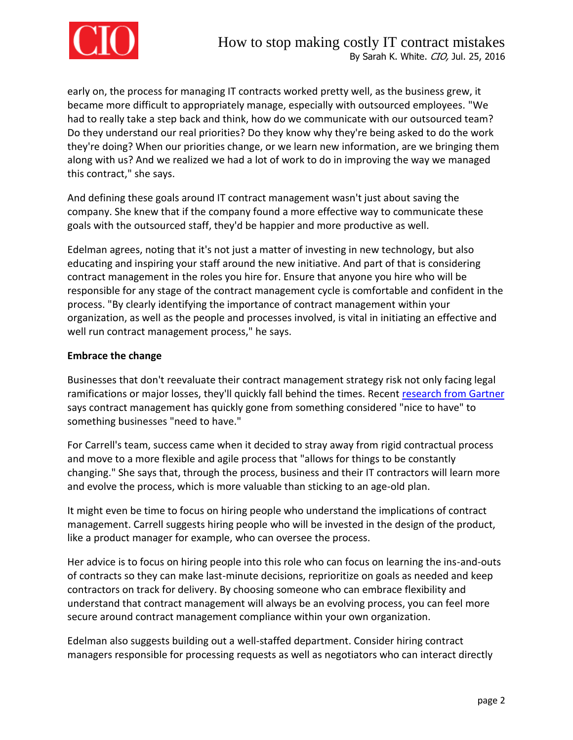

early on, the process for managing IT contracts worked pretty well, as the business grew, it became more difficult to appropriately manage, especially with outsourced employees. "We had to really take a step back and think, how do we communicate with our outsourced team? Do they understand our real priorities? Do they know why they're being asked to do the work they're doing? When our priorities change, or we learn new information, are we bringing them along with us? And we realized we had a lot of work to do in improving the way we managed this contract," she says.

And defining these goals around IT contract management wasn't just about saving the company. She knew that if the company found a more effective way to communicate these goals with the outsourced staff, they'd be happier and more productive as well.

Edelman agrees, noting that it's not just a matter of investing in new technology, but also educating and inspiring your staff around the new initiative. And part of that is considering contract management in the roles you hire for. Ensure that anyone you hire who will be responsible for any stage of the contract management cycle is comfortable and confident in the process. "By clearly identifying the importance of contract management within your organization, as well as the people and processes involved, is vital in initiating an effective and well run contract management process," he says.

## **Embrace the change**

Businesses that don't reevaluate their contract management strategy risk not only facing legal ramifications or major losses, they'll quickly fall behind the times. Recent [research from Gartner](https://www.gartner.com/doc/3096023/market-guide-contract-life-cycle) says contract management has quickly gone from something considered "nice to have" to something businesses "need to have."

For Carrell's team, success came when it decided to stray away from rigid contractual process and move to a more flexible and agile process that "allows for things to be constantly changing." She says that, through the process, business and their IT contractors will learn more and evolve the process, which is more valuable than sticking to an age-old plan.

It might even be time to focus on hiring people who understand the implications of contract management. Carrell suggests hiring people who will be invested in the design of the product, like a product manager for example, who can oversee the process.

Her advice is to focus on hiring people into this role who can focus on learning the ins-and-outs of contracts so they can make last-minute decisions, reprioritize on goals as needed and keep contractors on track for delivery. By choosing someone who can embrace flexibility and understand that contract management will always be an evolving process, you can feel more secure around contract management compliance within your own organization.

Edelman also suggests building out a well-staffed department. Consider hiring contract managers responsible for processing requests as well as negotiators who can interact directly